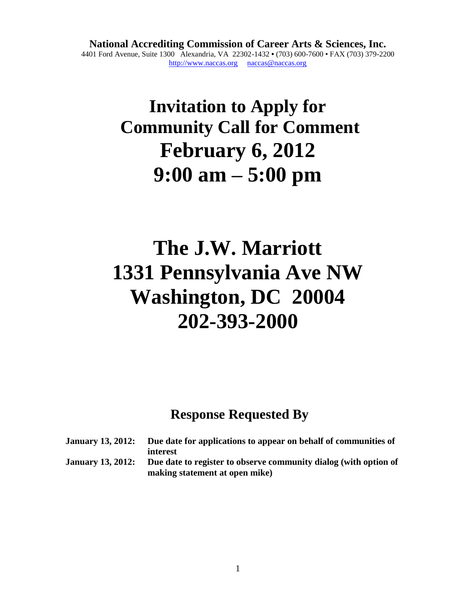**National Accrediting Commission of Career Arts & Sciences, Inc.** 4401 Ford Avenue, Suite 1300 Alexandria, VA 22302-1432 **•** (703) 600-7600 • FAX (703) 379-2200 [http://www.naccas.org](http://www.naccas.org/) [naccas@naccas.org](mailto:naccas@naccas.org)

## **Invitation to Apply for Community Call for Comment February 6, 2012 9:00 am – 5:00 pm**

# **The J.W. Marriott 1331 Pennsylvania Ave NW Washington, DC 20004 202-393-2000**

## **Response Requested By**

| January 13, 2012: | Due date for applications to appear on behalf of communities of                                    |
|-------------------|----------------------------------------------------------------------------------------------------|
|                   | interest                                                                                           |
| January 13, 2012: | Due date to register to observe community dialog (with option of<br>making statement at open mike) |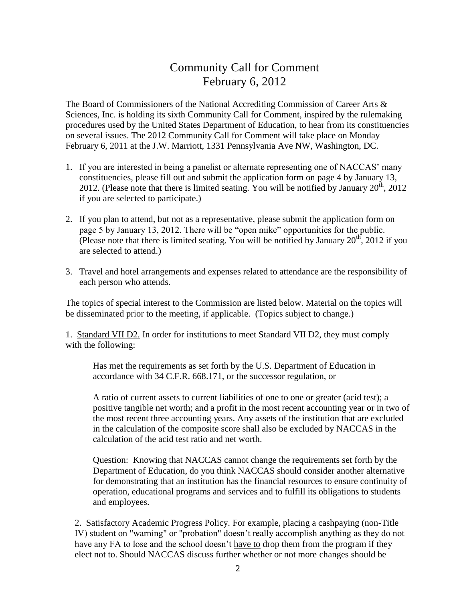### Community Call for Comment February 6, 2012

The Board of Commissioners of the National Accrediting Commission of Career Arts & Sciences, Inc. is holding its sixth Community Call for Comment, inspired by the rulemaking procedures used by the United States Department of Education, to hear from its constituencies on several issues. The 2012 Community Call for Comment will take place on Monday February 6, 2011 at the J.W. Marriott, 1331 Pennsylvania Ave NW, Washington, DC.

- 1. If you are interested in being a panelist or alternate representing one of NACCAS' many constituencies, please fill out and submit the application form on page 4 by January 13, 2012. (Please note that there is limited seating. You will be notified by January  $20^{th}$ , 2012 if you are selected to participate.)
- 2. If you plan to attend, but not as a representative, please submit the application form on page 5 by January 13, 2012. There will be "open mike" opportunities for the public. (Please note that there is limited seating. You will be notified by January  $20<sup>th</sup>$ , 2012 if you are selected to attend.)
- 3. Travel and hotel arrangements and expenses related to attendance are the responsibility of each person who attends.

The topics of special interest to the Commission are listed below. Material on the topics will be disseminated prior to the meeting, if applicable. (Topics subject to change.)

1. Standard VII D2. In order for institutions to meet Standard VII D2, they must comply with the following:

Has met the requirements as set forth by the U.S. Department of Education in accordance with 34 C.F.R. 668.171, or the successor regulation, or

A ratio of current assets to current liabilities of one to one or greater (acid test); a positive tangible net worth; and a profit in the most recent accounting year or in two of the most recent three accounting years. Any assets of the institution that are excluded in the calculation of the composite score shall also be excluded by NACCAS in the calculation of the acid test ratio and net worth.

Question: Knowing that NACCAS cannot change the requirements set forth by the Department of Education, do you think NACCAS should consider another alternative for demonstrating that an institution has the financial resources to ensure continuity of operation, educational programs and services and to fulfill its obligations to students and employees.

2. Satisfactory Academic Progress Policy. For example, placing a cashpaying (non-Title IV) student on "warning" or "probation" doesn't really accomplish anything as they do not have any FA to lose and the school doesn't have to drop them from the program if they elect not to. Should NACCAS discuss further whether or not more changes should be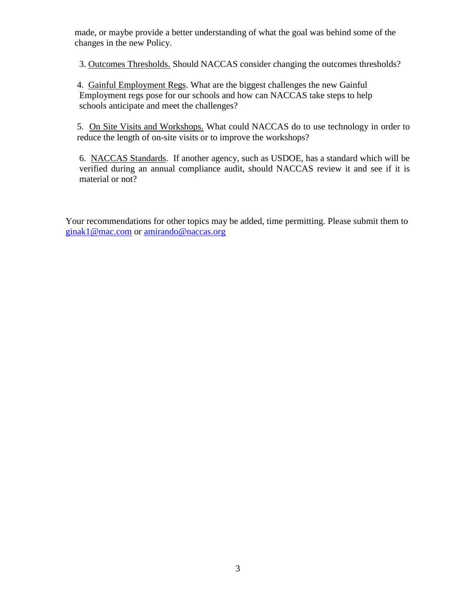made, or maybe provide a better understanding of what the goal was behind some of the changes in the new Policy.

3. Outcomes Thresholds. Should NACCAS consider changing the outcomes thresholds?

4. Gainful Employment Regs. What are the biggest challenges the new Gainful Employment regs pose for our schools and how can NACCAS take steps to help schools anticipate and meet the challenges?

5. On Site Visits and Workshops. What could NACCAS do to use technology in order to reduce the length of on-site visits or to improve the workshops?

6. NACCAS Standards. If another agency, such as USDOE, has a standard which will be verified during an annual compliance audit, should NACCAS review it and see if it is material or not?

Your recommendations for other topics may be added, time permitting. Please submit them to [ginak1@mac.com](mailto:ginak1@mac.com) or [amirando@naccas.org](mailto:amirando@naccas.org)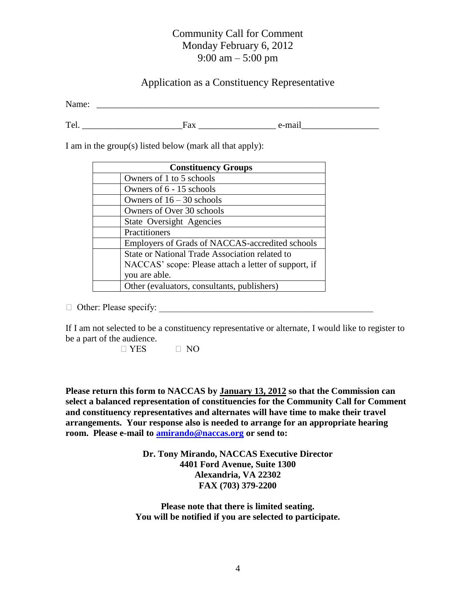#### Community Call for Comment Monday February 6, 2012 9:00 am – 5:00 pm

#### Application as a Constituency Representative

Name: \_\_\_\_\_\_\_\_\_\_\_\_\_\_\_\_\_\_\_\_\_\_\_\_\_\_\_\_\_\_\_\_\_\_\_\_\_\_\_\_\_\_\_\_\_\_\_\_\_\_\_\_\_\_\_\_\_\_\_\_\_\_

Tel. The state of the state of the state of the state of the state of the state of the state of the state of the state of the state of the state of the state of the state of the state of the state of the state of the state

I am in the group(s) listed below (mark all that apply):

| <b>Constituency Groups</b>                           |  |
|------------------------------------------------------|--|
| Owners of 1 to 5 schools                             |  |
| Owners of 6 - 15 schools                             |  |
| Owners of $16 - 30$ schools                          |  |
| Owners of Over 30 schools                            |  |
| <b>State Oversight Agencies</b>                      |  |
| Practitioners                                        |  |
| Employers of Grads of NACCAS-accredited schools      |  |
| State or National Trade Association related to       |  |
| NACCAS' scope: Please attach a letter of support, if |  |
| you are able.                                        |  |
| Other (evaluators, consultants, publishers)          |  |

 $\Box$  Other: Please specify:

If I am not selected to be a constituency representative or alternate, I would like to register to be a part of the audience.

 $\Box$  YES  $\Box$  NO

**Please return this form to NACCAS by January 13, 2012 so that the Commission can select a balanced representation of constituencies for the Community Call for Comment and constituency representatives and alternates will have time to make their travel arrangements. Your response also is needed to arrange for an appropriate hearing room. Please e-mail to [amirando@naccas.org](mailto:amirando@naccas.org) or send to:**

> **Dr. Tony Mirando, NACCAS Executive Director 4401 Ford Avenue, Suite 1300 Alexandria, VA 22302 FAX (703) 379-2200**

**Please note that there is limited seating. You will be notified if you are selected to participate.**